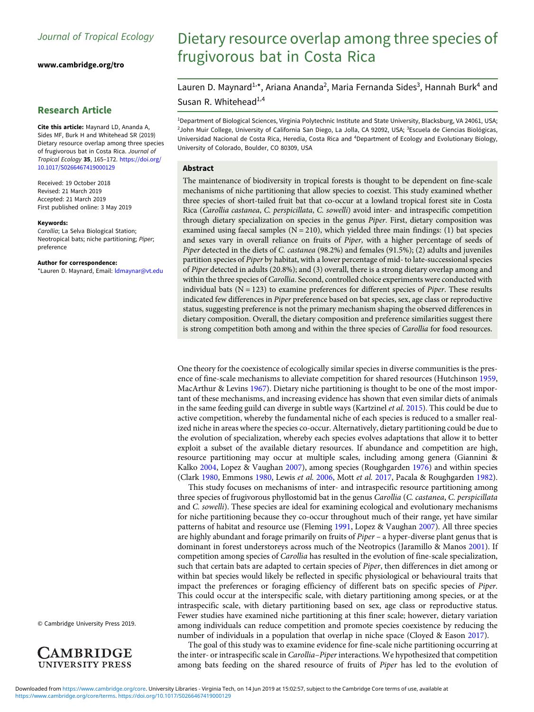[www.cambridge.org/tro](https://www.cambridge.org/tro)

# Research Article

Cite this article: Maynard LD, Ananda A, Sides MF, Burk H and Whitehead SR (2019) Dietary resource overlap among three species of frugivorous bat in Costa Rica. Journal of Tropical Ecology 35, 165–172. [https://doi.org/](https://doi.org/10.1017/S0266467419000129) [10.1017/S0266467419000129](https://doi.org/10.1017/S0266467419000129)

Received: 19 October 2018 Revised: 21 March 2019 Accepted: 21 March 2019 First published online: 3 May 2019

#### Keywords:

Carollia; La Selva Biological Station; Neotropical bats; niche partitioning; Piper; preference

#### Author for correspondence:

\*Lauren D. Maynard, Email: [ldmaynar@vt.edu](mailto:ldmaynar@vt.edu)

© Cambridge University Press 2019.



# Dietary resource overlap among three species of frugivorous bat in Costa Rica

Lauren D. Maynard<sup>1,\*</sup>, Ariana Ananda<sup>2</sup>, Maria Fernanda Sides<sup>3</sup>, Hannah Burk<sup>4</sup> and Susan R. Whitehead $^{1,4}$ 

<sup>1</sup>Department of Biological Sciences, Virginia Polytechnic Institute and State University, Blacksburg, VA 24061, USA; <sup>2</sup>John Muir College, University of California San Diego, La Jolla, CA 92092, USA; <sup>3</sup>Escuela de Ciencias Biológicas, Universidad Nacional de Costa Rica, Heredia, Costa Rica and <sup>4</sup>Department of Ecology and Evolutionary Biology, University of Colorado, Boulder, CO 80309, USA

#### Abstract

The maintenance of biodiversity in tropical forests is thought to be dependent on fine-scale mechanisms of niche partitioning that allow species to coexist. This study examined whether three species of short-tailed fruit bat that co-occur at a lowland tropical forest site in Costa Rica (Carollia castanea, C. perspicillata, C. sowelli) avoid inter- and intraspecific competition through dietary specialization on species in the genus Piper. First, dietary composition was examined using faecal samples ( $N = 210$ ), which yielded three main findings: (1) bat species and sexes vary in overall reliance on fruits of Piper, with a higher percentage of seeds of Piper detected in the diets of C. castanea (98.2%) and females (91.5%); (2) adults and juveniles partition species of Piper by habitat, with a lower percentage of mid- to late-successional species of Piper detected in adults (20.8%); and (3) overall, there is a strong dietary overlap among and within the three species of Carollia. Second, controlled choice experiments were conducted with individual bats ( $N = 123$ ) to examine preferences for different species of *Piper*. These results indicated few differences in Piper preference based on bat species, sex, age class or reproductive status, suggesting preference is not the primary mechanism shaping the observed differences in dietary composition. Overall, the dietary composition and preference similarities suggest there is strong competition both among and within the three species of *Carollia* for food resources.

One theory for the coexistence of ecologically similar species in diverse communities is the presence of fine-scale mechanisms to alleviate competition for shared resources (Hutchinson [1959,](#page-7-0) MacArthur & Levins [1967](#page-7-0)). Dietary niche partitioning is thought to be one of the most important of these mechanisms, and increasing evidence has shown that even similar diets of animals in the same feeding guild can diverge in subtle ways (Kartzinel et al. [2015](#page-7-0)). This could be due to active competition, whereby the fundamental niche of each species is reduced to a smaller realized niche in areas where the species co-occur. Alternatively, dietary partitioning could be due to the evolution of specialization, whereby each species evolves adaptations that allow it to better exploit a subset of the available dietary resources. If abundance and competition are high, resource partitioning may occur at multiple scales, including among genera (Giannini & Kalko [2004](#page-7-0), Lopez & Vaughan [2007\)](#page-7-0), among species (Roughgarden [1976](#page-7-0)) and within species (Clark [1980](#page-7-0), Emmons [1980,](#page-7-0) Lewis et al. [2006](#page-7-0), Mott et al. [2017,](#page-7-0) Pacala & Roughgarden [1982\)](#page-7-0).

This study focuses on mechanisms of inter- and intraspecific resource partitioning among three species of frugivorous phyllostomid bat in the genus Carollia (C. castanea, C. perspicillata and C. sowelli). These species are ideal for examining ecological and evolutionary mechanisms for niche partitioning because they co-occur throughout much of their range, yet have similar patterns of habitat and resource use (Fleming [1991](#page-7-0), Lopez & Vaughan [2007](#page-7-0)). All three species are highly abundant and forage primarily on fruits of Piper – a hyper-diverse plant genus that is dominant in forest understoreys across much of the Neotropics (Jaramillo & Manos [2001\)](#page-7-0). If competition among species of Carollia has resulted in the evolution of fine-scale specialization, such that certain bats are adapted to certain species of *Piper*, then differences in diet among or within bat species would likely be reflected in specific physiological or behavioural traits that impact the preferences or foraging efficiency of different bats on specific species of Piper. This could occur at the interspecific scale, with dietary partitioning among species, or at the intraspecific scale, with dietary partitioning based on sex, age class or reproductive status. Fewer studies have examined niche partitioning at this finer scale; however, dietary variation among individuals can reduce competition and promote species coexistence by reducing the number of individuals in a population that overlap in niche space (Cloyed & Eason [2017](#page-7-0)).

The goal of this study was to examine evidence for fine-scale niche partitioning occurring at the inter- or intraspecific scale in *Carollia–Piper* interactions. We hypothesized that competition among bats feeding on the shared resource of fruits of Piper has led to the evolution of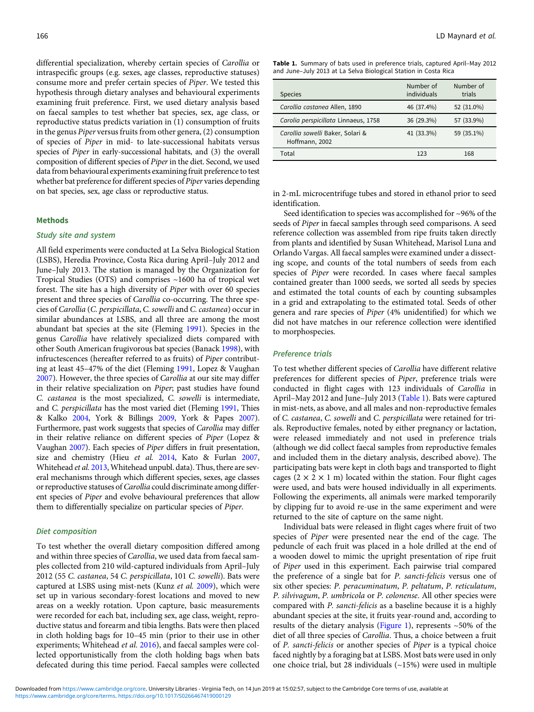differential specialization, whereby certain species of Carollia or intraspecific groups (e.g. sexes, age classes, reproductive statuses) consume more and prefer certain species of Piper. We tested this hypothesis through dietary analyses and behavioural experiments examining fruit preference. First, we used dietary analysis based on faecal samples to test whether bat species, sex, age class, or reproductive status predicts variation in (1) consumption of fruits in the genus Piper versus fruits from other genera, (2) consumption of species of Piper in mid- to late-successional habitats versus species of Piper in early-successional habitats, and (3) the overall composition of different species of Piper in the diet. Second, we used data from behavioural experiments examining fruit preference to test whether bat preference for different species of Piper varies depending on bat species, sex, age class or reproductive status.

## Methods

# Study site and system

All field experiments were conducted at La Selva Biological Station (LSBS), Heredia Province, Costa Rica during April–July 2012 and June–July 2013. The station is managed by the Organization for Tropical Studies (OTS) and comprises ~1600 ha of tropical wet forest. The site has a high diversity of Piper with over 60 species present and three species of Carollia co-occurring. The three species of Carollia (C. perspicillata, C. sowelli and C. castanea) occur in similar abundances at LSBS, and all three are among the most abundant bat species at the site (Fleming [1991\)](#page-7-0). Species in the genus Carollia have relatively specialized diets compared with other South American frugivorous bat species (Banack [1998](#page-6-0)), with infructescences (hereafter referred to as fruits) of Piper contributing at least 45–47% of the diet (Fleming [1991](#page-7-0), Lopez & Vaughan [2007\)](#page-7-0). However, the three species of Carollia at our site may differ in their relative specialization on Piper; past studies have found C. castanea is the most specialized, C. sowelli is intermediate, and C. perspicillata has the most varied diet (Fleming [1991](#page-7-0), Thies & Kalko [2004,](#page-7-0) York & Billings [2009](#page-7-0), York & Papes [2007](#page-7-0)). Furthermore, past work suggests that species of Carollia may differ in their relative reliance on different species of Piper (Lopez & Vaughan [2007](#page-7-0)). Each species of Piper differs in fruit presentation, size and chemistry (Hieu et al. [2014,](#page-7-0) Kato & Furlan [2007](#page-7-0), Whitehead et al. [2013,](#page-7-0) Whitehead unpubl. data). Thus, there are several mechanisms through which different species, sexes, age classes or reproductive statuses of Carollia could discriminate among different species of Piper and evolve behavioural preferences that allow them to differentially specialize on particular species of Piper.

#### Diet composition

To test whether the overall dietary composition differed among and within three species of Carollia, we used data from faecal samples collected from 210 wild-captured individuals from April–July 2012 (55 C. castanea, 54 C. perspicillata, 101 C. sowelli). Bats were captured at LSBS using mist-nets (Kunz et al. [2009](#page-7-0)), which were set up in various secondary-forest locations and moved to new areas on a weekly rotation. Upon capture, basic measurements were recorded for each bat, including sex, age class, weight, reproductive status and forearm and tibia lengths. Bats were then placed in cloth holding bags for 10–45 min (prior to their use in other experiments; Whitehead et al. [2016](#page-7-0)), and faecal samples were collected opportunistically from the cloth holding bags when bats defecated during this time period. Faecal samples were collected

|  |                                                                 | Table 1. Summary of bats used in preference trials, captured April–May 2012 |  |
|--|-----------------------------------------------------------------|-----------------------------------------------------------------------------|--|
|  | and June-July 2013 at La Selva Biological Station in Costa Rica |                                                                             |  |

| <b>Species</b>                                     | Number of<br>individuals | Number of<br>trials |
|----------------------------------------------------|--------------------------|---------------------|
| Carollia castanea Allen, 1890                      | 46 (37.4%)               | 52 (31.0%)          |
| Carolia perspicillata Linnaeus, 1758               | 36 (29.3%)               | 57 (33.9%)          |
| Carollia sowelli Baker, Solari &<br>Hoffmann, 2002 | 41 (33.3%)               | 59 (35.1%)          |
| Total                                              | 123                      | 168                 |

in 2-mL microcentrifuge tubes and stored in ethanol prior to seed identification.

Seed identification to species was accomplished for ~96% of the seeds of Piper in faecal samples through seed comparisons. A seed reference collection was assembled from ripe fruits taken directly from plants and identified by Susan Whitehead, Marisol Luna and Orlando Vargas. All faecal samples were examined under a dissecting scope, and counts of the total numbers of seeds from each species of Piper were recorded. In cases where faecal samples contained greater than 1000 seeds, we sorted all seeds by species and estimated the total counts of each by counting subsamples in a grid and extrapolating to the estimated total. Seeds of other genera and rare species of Piper (4% unidentified) for which we did not have matches in our reference collection were identified to morphospecies.

#### Preference trials

To test whether different species of Carollia have different relative preferences for different species of Piper, preference trials were conducted in flight cages with 123 individuals of Carollia in April–May 2012 and June–July 2013 (Table 1). Bats were captured in mist-nets, as above, and all males and non-reproductive females of C. castanea, C. sowelli and C. perspicillata were retained for trials. Reproductive females, noted by either pregnancy or lactation, were released immediately and not used in preference trials (although we did collect faecal samples from reproductive females and included them in the dietary analysis, described above). The participating bats were kept in cloth bags and transported to flight cages ( $2 \times 2 \times 1$  m) located within the station. Four flight cages were used, and bats were housed individually in all experiments. Following the experiments, all animals were marked temporarily by clipping fur to avoid re-use in the same experiment and were returned to the site of capture on the same night.

Individual bats were released in flight cages where fruit of two species of Piper were presented near the end of the cage. The peduncle of each fruit was placed in a hole drilled at the end of a wooden dowel to mimic the upright presentation of ripe fruit of Piper used in this experiment. Each pairwise trial compared the preference of a single bat for P. sancti-felicis versus one of six other species: P. peracuminatum, P. peltatum, P. reticulatum, P. silvivagum, P. umbricola or P. colonense. All other species were compared with P. sancti-felicis as a baseline because it is a highly abundant species at the site, it fruits year-round and, according to results of the dietary analysis ([Figure 1\)](#page-2-0), represents ~50% of the diet of all three species of Carollia. Thus, a choice between a fruit of P. sancti-felicis or another species of Piper is a typical choice faced nightly by a foraging bat at LSBS. Most bats were used in only one choice trial, but 28 individuals (~15%) were used in multiple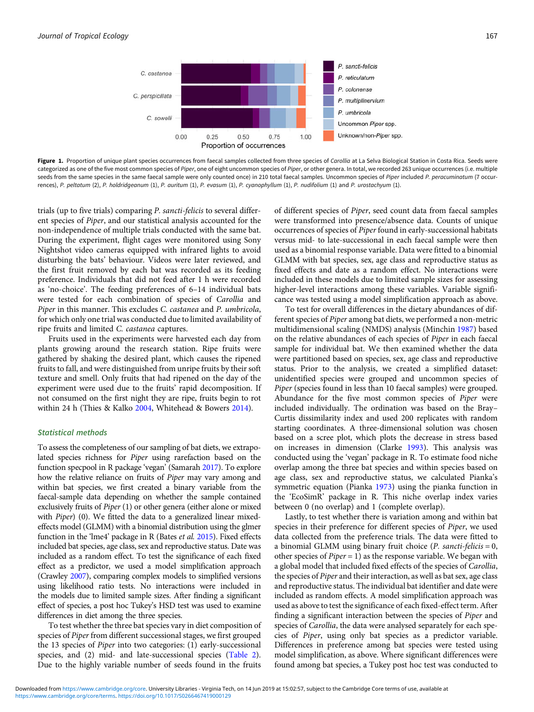<span id="page-2-0"></span>

Figure 1. Proportion of unique plant species occurrences from faecal samples collected from three species of Carollia at La Selva Biological Station in Costa Rica. Seeds were categorized as one of the five most common species of Piper, one of eight uncommon species of Piper, or other genera. In total, we recorded 263 unique occurrences (i.e. multiple seeds from the same species in the same faecal sample were only counted once) in 210 total faecal samples. Uncommon species of Piper included P. peracuminatum (7 occurrences), P. peltatum (2), P. holdridgeanum (1), P. auritum (1), P. evasum (1), P. cyanophyllum (1), P. nudifolium (1) and P. urostachyum (1).

trials (up to five trials) comparing P. sancti-felicis to several different species of Piper, and our statistical analysis accounted for the non-independence of multiple trials conducted with the same bat. During the experiment, flight cages were monitored using Sony Nightshot video cameras equipped with infrared lights to avoid disturbing the bats' behaviour. Videos were later reviewed, and the first fruit removed by each bat was recorded as its feeding preference. Individuals that did not feed after 1 h were recorded as 'no-choice'. The feeding preferences of 6–14 individual bats were tested for each combination of species of Carollia and Piper in this manner. This excludes C. castanea and P. umbricola, for which only one trial was conducted due to limited availability of ripe fruits and limited C. castanea captures.

Fruits used in the experiments were harvested each day from plants growing around the research station. Ripe fruits were gathered by shaking the desired plant, which causes the ripened fruits to fall, and were distinguished from unripe fruits by their soft texture and smell. Only fruits that had ripened on the day of the experiment were used due to the fruits' rapid decomposition. If not consumed on the first night they are ripe, fruits begin to rot within 24 h (Thies & Kalko [2004](#page-7-0), Whitehead & Bowers [2014\)](#page-7-0).

# Statistical methods

To assess the completeness of our sampling of bat diets, we extrapolated species richness for Piper using rarefaction based on the function specpool in R package 'vegan' (Samarah [2017](#page-7-0)). To explore how the relative reliance on fruits of Piper may vary among and within bat species, we first created a binary variable from the faecal-sample data depending on whether the sample contained exclusively fruits of Piper (1) or other genera (either alone or mixed with Piper) (0). We fitted the data to a generalized linear mixedeffects model (GLMM) with a binomial distribution using the glmer function in the 'lme4' package in R (Bates et al. [2015](#page-6-0)). Fixed effects included bat species, age class, sex and reproductive status. Date was included as a random effect. To test the significance of each fixed effect as a predictor, we used a model simplification approach (Crawley [2007](#page-7-0)), comparing complex models to simplified versions using likelihood ratio tests. No interactions were included in the models due to limited sample sizes. After finding a significant effect of species, a post hoc Tukey's HSD test was used to examine differences in diet among the three species.

To test whether the three bat species vary in diet composition of species of Piper from different successional stages, we first grouped the 13 species of Piper into two categories: (1) early-successional species, and (2) mid- and late-successional species [\(Table 2\)](#page-3-0). Due to the highly variable number of seeds found in the fruits

of different species of Piper, seed count data from faecal samples were transformed into presence/absence data. Counts of unique occurrences of species of Piper found in early-successional habitats versus mid- to late-successional in each faecal sample were then used as a binomial response variable. Data were fitted to a binomial GLMM with bat species, sex, age class and reproductive status as fixed effects and date as a random effect. No interactions were included in these models due to limited sample sizes for assessing higher-level interactions among these variables. Variable significance was tested using a model simplification approach as above.

To test for overall differences in the dietary abundances of different species of Piper among bat diets, we performed a non-metric multidimensional scaling (NMDS) analysis (Minchin [1987](#page-7-0)) based on the relative abundances of each species of Piper in each faecal sample for individual bat. We then examined whether the data were partitioned based on species, sex, age class and reproductive status. Prior to the analysis, we created a simplified dataset: unidentified species were grouped and uncommon species of Piper (species found in less than 10 faecal samples) were grouped. Abundance for the five most common species of Piper were included individually. The ordination was based on the Bray– Curtis dissimilarity index and used 200 replicates with random starting coordinates. A three-dimensional solution was chosen based on a scree plot, which plots the decrease in stress based on increases in dimension (Clarke [1993](#page-7-0)). This analysis was conducted using the 'vegan' package in R. To estimate food niche overlap among the three bat species and within species based on age class, sex and reproductive status, we calculated Pianka's symmetric equation (Pianka [1973\)](#page-7-0) using the pianka function in the 'EcoSimR' package in R. This niche overlap index varies between 0 (no overlap) and 1 (complete overlap).

Lastly, to test whether there is variation among and within bat species in their preference for different species of Piper, we used data collected from the preference trials. The data were fitted to a binomial GLMM using binary fruit choice (P. sancti-felicis = 0, other species of  $Piper = 1$ ) as the response variable. We began with a global model that included fixed effects of the species of Carollia, the species of Piper and their interaction, as well as bat sex, age class and reproductive status. The individual bat identifier and date were included as random effects. A model simplification approach was used as above to test the significance of each fixed-effect term. After finding a significant interaction between the species of Piper and species of Carollia, the data were analysed separately for each species of Piper, using only bat species as a predictor variable. Differences in preference among bat species were tested using model simplification, as above. Where significant differences were found among bat species, a Tukey post hoc test was conducted to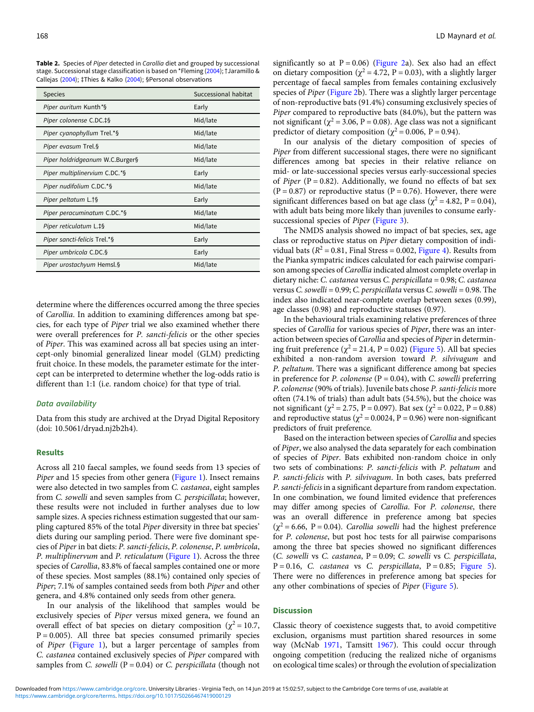<span id="page-3-0"></span>Table 2. Species of Piper detected in Carollia diet and grouped by successional stage. Successional stage classification is based on \*Fleming [\(2004](#page-7-0)); †Jaramillo & Callejas [\(2004\)](#page-7-0); ‡Thies & Kalko ([2004](#page-7-0)); §Personal observations

| <b>Species</b>                  | Successional habitat |
|---------------------------------|----------------------|
| Piper auritum Kunth*§           | Early                |
| Piper colonense C.DC.‡§         | Mid/late             |
| Piper cyanophyllum Trel.*§      | Mid/late             |
| Piper evasum Trel.§             | Mid/late             |
| Piper holdridgeanum W.C.Burger§ | Mid/late             |
| Piper multiplinervium C.DC.*§   | Early                |
| Piper nudifolium C.DC.*§        | Mid/late             |
| Piper peltatum L.1§             | Early                |
| Piper peracuminatum C.DC.*§     | Mid/late             |
| Piper reticulatum L.‡§          | Mid/late             |
| Piper sancti-felicis Trel.*§    | Early                |
| Piper umbricola C.DC.§          | Early                |
| Piper urostachyum Hemsl.§       | Mid/late             |

determine where the differences occurred among the three species of Carollia. In addition to examining differences among bat species, for each type of Piper trial we also examined whether there were overall preferences for P. sancti-felicis or the other species of Piper. This was examined across all bat species using an intercept-only binomial generalized linear model (GLM) predicting fruit choice. In these models, the parameter estimate for the intercept can be interpreted to determine whether the log-odds ratio is different than 1:1 (i.e. random choice) for that type of trial.

## Data availability

Data from this study are archived at the Dryad Digital Repository (doi: 10.5061/dryad.nj2b2h4).

#### Results

Across all 210 faecal samples, we found seeds from 13 species of Piper and 15 species from other genera ([Figure 1](#page-2-0)). Insect remains were also detected in two samples from C. castanea, eight samples from C. sowelli and seven samples from C. perspicillata; however, these results were not included in further analyses due to low sample sizes. A species richness estimation suggested that our sampling captured 85% of the total Piper diversity in three bat species' diets during our sampling period. There were five dominant species of Piper in bat diets: P. sancti-felicis, P. colonense, P. umbricola, P. multiplinervum and P. reticulatum [\(Figure 1](#page-2-0)). Across the three species of Carollia, 83.8% of faecal samples contained one or more of these species. Most samples (88.1%) contained only species of Piper; 7.1% of samples contained seeds from both Piper and other genera, and 4.8% contained only seeds from other genera.

In our analysis of the likelihood that samples would be exclusively species of Piper versus mixed genera, we found an overall effect of bat species on dietary composition ( $\chi^2$  = 10.7,  $P = 0.005$ ). All three bat species consumed primarily species of Piper ([Figure 1](#page-2-0)), but a larger percentage of samples from C. castanea contained exclusively species of Piper compared with samples from C. sowelli ( $P = 0.04$ ) or C. perspicillata (though not significantly so at  $P = 0.06$ ) [\(Figure 2](#page-4-0)a). Sex also had an effect on dietary composition ( $\chi^2$  = 4.72, P = 0.03), with a slightly larger percentage of faecal samples from females containing exclusively species of Piper [\(Figure 2](#page-4-0)b). There was a slightly larger percentage of non-reproductive bats (91.4%) consuming exclusively species of Piper compared to reproductive bats (84.0%), but the pattern was not significant ( $χ² = 3.06$ , P = 0.08). Age class was not a significant predictor of dietary composition ( $\chi^2$  = 0.006, P = 0.94).

In our analysis of the dietary composition of species of Piper from different successional stages, there were no significant differences among bat species in their relative reliance on mid- or late-successional species versus early-successional species of Piper ( $P = 0.82$ ). Additionally, we found no effects of bat sex  $(P = 0.87)$  or reproductive status  $(P = 0.76)$ . However, there were significant differences based on bat age class ( $\chi^2$  = 4.82, P = 0.04), with adult bats being more likely than juveniles to consume earlysuccessional species of *Piper* ([Figure 3](#page-4-0)).

The NMDS analysis showed no impact of bat species, sex, age class or reproductive status on Piper dietary composition of individual bats ( $R^2 = 0.81$ , Final Stress = 0.002, [Figure 4\)](#page-5-0). Results from the Pianka sympatric indices calculated for each pairwise comparison among species of Carollia indicated almost complete overlap in dietary niche: C. castanea versus C. perspicillata = 0.98; C. castanea versus C. sowelli = 0.99; C. perspicillata versus C. sowelli = 0.98. The index also indicated near-complete overlap between sexes (0.99), age classes (0.98) and reproductive statuses (0.97).

In the behavioural trials examining relative preferences of three species of Carollia for various species of Piper, there was an interaction between species of Carollia and species of Piper in determining fruit preference ( $\chi^2$  = 21.4, P = 0.02) [\(Figure 5](#page-5-0)). All bat species exhibited a non-random aversion toward P. silvivagum and P. peltatum. There was a significant difference among bat species in preference for *P. colonense* ( $P = 0.04$ ), with *C. sowelli* preferring P. colonense (90% of trials). Juvenile bats chose P. santi-felicis more often (74.1% of trials) than adult bats (54.5%), but the choice was not significant ( $χ$ <sup>2</sup> = 2.75, P = 0.097). Bat sex ( $χ$ <sup>2</sup> = 0.022, P = 0.88) and reproductive status ( $\chi^2$  = 0.0024, P = 0.96) were non-significant predictors of fruit preference.

Based on the interaction between species of Carollia and species of Piper, we also analysed the data separately for each combination of species of Piper. Bats exhibited non-random choice in only two sets of combinations: P. sancti-felicis with P. peltatum and P. sancti-felicis with P. silvivagum. In both cases, bats preferred P. sancti-felicis in a significant departure from random expectation. In one combination, we found limited evidence that preferences may differ among species of Carollia. For P. colonense, there was an overall difference in preference among bat species  $(\chi^2 = 6.66, P = 0.04)$ . Carollia sowelli had the highest preference for P. colonense, but post hoc tests for all pairwise comparisons among the three bat species showed no significant differences (C. sowelli vs C. castanea,  $P = 0.09$ ; C. sowelli vs C. perspicillata,  $P = 0.16$ , C. castanea vs C. perspicillata,  $P = 0.85$ ; [Figure 5](#page-5-0)). There were no differences in preference among bat species for any other combinations of species of Piper [\(Figure 5\)](#page-5-0).

#### **Discussion**

Classic theory of coexistence suggests that, to avoid competitive exclusion, organisms must partition shared resources in some way (McNab [1971](#page-7-0), Tamsitt [1967\)](#page-7-0). This could occur through ongoing competition (reducing the realized niche of organisms on ecological time scales) or through the evolution of specialization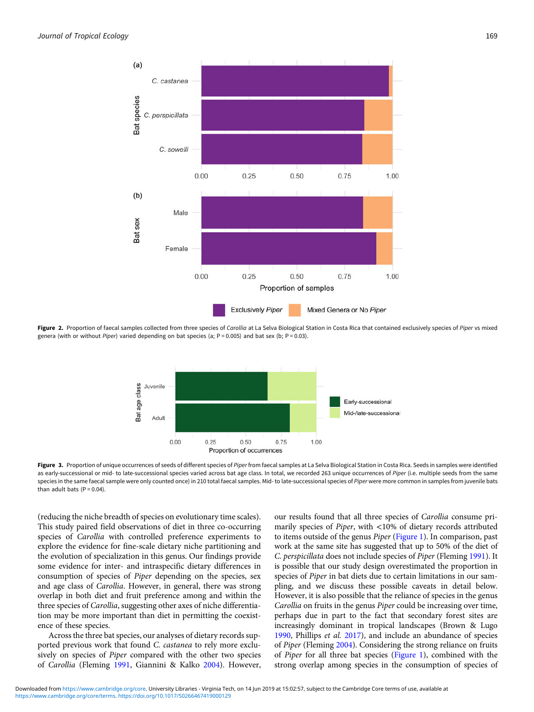<span id="page-4-0"></span>

Figure 2. Proportion of faecal samples collected from three species of Carollia at La Selva Biological Station in Costa Rica that contained exclusively species of Piper vs mixed genera (with or without Piper) varied depending on bat species (a; P = 0.005) and bat sex (b; P = 0.03).



Figure 3. Proportion of unique occurrences of seeds of different species of Piper from faecal samples at La Selva Biological Station in Costa Rica. Seeds in samples were identified as early-successional or mid- to late-successional species varied across bat age class. In total, we recorded 263 unique occurrences of Piper (i.e. multiple seeds from the same species in the same faecal sample were only counted once) in 210 total faecal samples. Mid- to late-successional species of Piper were more common in samples from juvenile bats than adult bats  $(P = 0.04)$ .

(reducing the niche breadth of species on evolutionary time scales). This study paired field observations of diet in three co-occurring species of Carollia with controlled preference experiments to explore the evidence for fine-scale dietary niche partitioning and the evolution of specialization in this genus. Our findings provide some evidence for inter- and intraspecific dietary differences in consumption of species of Piper depending on the species, sex and age class of Carollia. However, in general, there was strong overlap in both diet and fruit preference among and within the three species of Carollia, suggesting other axes of niche differentiation may be more important than diet in permitting the coexistence of these species.

Across the three bat species, our analyses of dietary records supported previous work that found C. castanea to rely more exclusively on species of Piper compared with the other two species of Carollia (Fleming [1991](#page-7-0), Giannini & Kalko [2004](#page-7-0)). However, our results found that all three species of Carollia consume primarily species of Piper, with <10% of dietary records attributed to items outside of the genus Piper [\(Figure 1](#page-2-0)). In comparison, past work at the same site has suggested that up to 50% of the diet of C. perspicillata does not include species of Piper (Fleming [1991\)](#page-7-0). It is possible that our study design overestimated the proportion in species of Piper in bat diets due to certain limitations in our sampling, and we discuss these possible caveats in detail below. However, it is also possible that the reliance of species in the genus Carollia on fruits in the genus Piper could be increasing over time, perhaps due in part to the fact that secondary forest sites are increasingly dominant in tropical landscapes (Brown & Lugo [1990](#page-7-0), Phillips et al. [2017\)](#page-7-0), and include an abundance of species of Piper (Fleming [2004](#page-7-0)). Considering the strong reliance on fruits of Piper for all three bat species ([Figure 1](#page-2-0)), combined with the strong overlap among species in the consumption of species of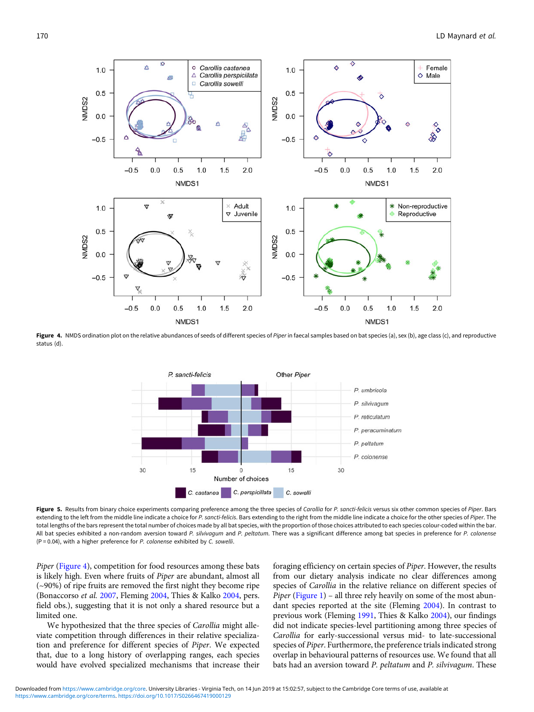<span id="page-5-0"></span>

Figure 4. NMDS ordination plot on the relative abundances of seeds of different species of Piper in faecal samples based on bat species (a), sex (b), age class (c), and reproductive status (d).



Figure 5. Results from binary choice experiments comparing preference among the three species of Carollia for P. sancti-felicis versus six other common species of Piper. Bars extending to the left from the middle line indicate a choice for P. sancti-felicis. Bars extending to the right from the middle line indicate a choice for the other species of Piper. The total lengths of the bars represent the total number of choices made by all bat species, with the proportion of those choices attributed to each species colour-coded within the bar. All bat species exhibited a non-random aversion toward P. silvivagum and P. peltatum. There was a significant difference among bat species in preference for P. colonense  $(P = 0.04)$ , with a higher preference for *P. colonense exhibited by C. sowelli*.

Piper (Figure 4), competition for food resources among these bats is likely high. Even where fruits of Piper are abundant, almost all (~90%) of ripe fruits are removed the first night they become ripe (Bonaccorso et al. [2007,](#page-6-0) Fleming [2004](#page-7-0), Thies & Kalko [2004,](#page-7-0) pers. field obs.), suggesting that it is not only a shared resource but a limited one.

We hypothesized that the three species of Carollia might alleviate competition through differences in their relative specialization and preference for different species of Piper. We expected that, due to a long history of overlapping ranges, each species would have evolved specialized mechanisms that increase their foraging efficiency on certain species of Piper. However, the results from our dietary analysis indicate no clear differences among species of Carollia in the relative reliance on different species of Piper ([Figure 1\)](#page-2-0) – all three rely heavily on some of the most abundant species reported at the site (Fleming [2004](#page-7-0)). In contrast to previous work (Fleming [1991](#page-7-0), Thies & Kalko [2004\)](#page-7-0), our findings did not indicate species-level partitioning among three species of Carollia for early-successional versus mid- to late-successional species of Piper. Furthermore, the preference trials indicated strong overlap in behavioural patterns of resources use. We found that all bats had an aversion toward P. peltatum and P. silvivagum. These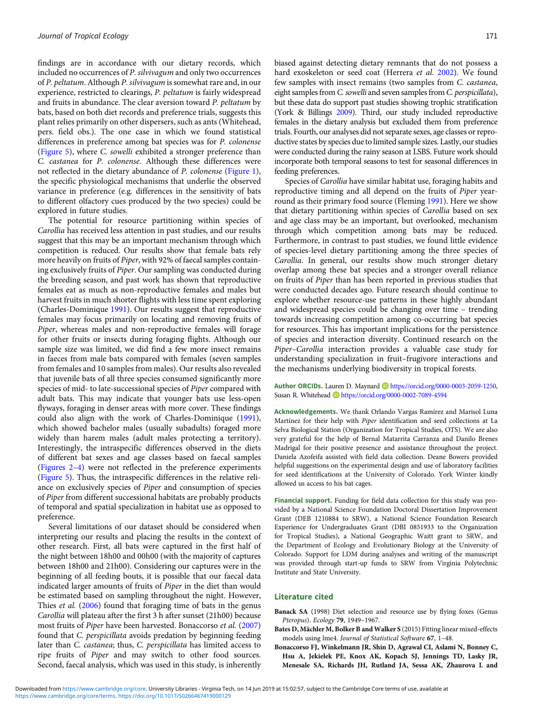<span id="page-6-0"></span>findings are in accordance with our dietary records, which included no occurrences of P. silvivagum and only two occurrences of P. peltatum. Although P. silvivagum is somewhat rare and, in our experience, restricted to clearings, P. peltatum is fairly widespread and fruits in abundance. The clear aversion toward P. peltatum by bats, based on both diet records and preference trials, suggests this plant relies primarily on other dispersers, such as ants (Whitehead, pers. field obs.). The one case in which we found statistical differences in preference among bat species was for P. colonense [\(Figure 5](#page-5-0)), where C. sowelli exhibited a stronger preference than C. castanea for P. colonense. Although these differences were not reflected in the dietary abundance of P. colonense ([Figure 1\)](#page-2-0), the specific physiological mechanisms that underlie the observed variance in preference (e.g. differences in the sensitivity of bats to different olfactory cues produced by the two species) could be explored in future studies.

The potential for resource partitioning within species of Carollia has received less attention in past studies, and our results suggest that this may be an important mechanism through which competition is reduced. Our results show that female bats rely more heavily on fruits of Piper, with 92% of faecal samples containing exclusively fruits of Piper. Our sampling was conducted during the breeding season, and past work has shown that reproductive females eat as much as non-reproductive females and males but harvest fruits in much shorter flights with less time spent exploring (Charles-Dominique [1991\)](#page-7-0). Our results suggest that reproductive females may focus primarily on locating and removing fruits of Piper, whereas males and non-reproductive females will forage for other fruits or insects during foraging flights. Although our sample size was limited, we did find a few more insect remains in faeces from male bats compared with females (seven samples from females and 10 samples from males). Our results also revealed that juvenile bats of all three species consumed significantly more species of mid- to late-successional species of Piper compared with adult bats. This may indicate that younger bats use less-open flyways, foraging in denser areas with more cover. These findings could also align with the work of Charles-Dominique [\(1991\)](#page-7-0), which showed bachelor males (usually subadults) foraged more widely than harem males (adult males protecting a territory). Interestingly, the intraspecific differences observed in the diets of different bat sexes and age classes based on faecal samples [\(Figures 2](#page-4-0)–[4\)](#page-5-0) were not reflected in the preference experiments [\(Figure 5](#page-5-0)). Thus, the intraspecific differences in the relative reliance on exclusively species of Piper and consumption of species of Piper from different successional habitats are probably products of temporal and spatial specialization in habitat use as opposed to preference.

Several limitations of our dataset should be considered when interpreting our results and placing the results in the context of other research. First, all bats were captured in the first half of the night between 18h00 and 00h00 (with the majority of captures between 18h00 and 21h00). Considering our captures were in the beginning of all feeding bouts, it is possible that our faecal data indicated larger amounts of fruits of Piper in the diet than would be estimated based on sampling throughout the night. However, Thies et al. [\(2006](#page-7-0)) found that foraging time of bats in the genus Carollia will plateau after the first 3 h after sunset (21h00) because most fruits of Piper have been harvested. Bonaccorso et al. (2007) found that C. perspicillata avoids predation by beginning feeding later than C. castanea; thus, C. perspicillata has limited access to ripe fruits of Piper and may switch to other food sources. Second, faecal analysis, which was used in this study, is inherently

biased against detecting dietary remnants that do not possess a hard exoskeleton or seed coat (Herrera et al. [2002](#page-7-0)). We found few samples with insect remains (two samples from C. castanea, eight samples from C. sowelli and seven samples from C. perspicillata), but these data do support past studies showing trophic stratification (York & Billings [2009\)](#page-7-0). Third, our study included reproductive females in the dietary analysis but excluded them from preference trials. Fourth, our analyses did not separate sexes, age classes or reproductive states by species due to limited sample sizes. Lastly, our studies were conducted during the rainy season at LSBS. Future work should incorporate both temporal seasons to test for seasonal differences in feeding preferences.

Species of Carollia have similar habitat use, foraging habits and reproductive timing and all depend on the fruits of Piper yearround as their primary food source (Fleming [1991\)](#page-7-0). Here we show that dietary partitioning within species of Carollia based on sex and age class may be an important, but overlooked, mechanism through which competition among bats may be reduced. Furthermore, in contrast to past studies, we found little evidence of species-level dietary partitioning among the three species of Carollia. In general, our results show much stronger dietary overlap among these bat species and a stronger overall reliance on fruits of Piper than has been reported in previous studies that were conducted decades ago. Future research should continue to explore whether resource-use patterns in these highly abundant and widespread species could be changing over time – trending towards increasing competition among co-occurring bat species for resources. This has important implications for the persistence of species and interaction diversity. Continued research on the Piper–Carollia interaction provides a valuable case study for understanding specialization in fruit–frugivore interactions and the mechanisms underlying biodiversity in tropical forests.

Author ORCIDs. Lauren D. Maynard D<https://orcid.org/0000-0003-2059-1250>, Susan R. Whitehead **b** <https://orcid.org/0000-0002-7089-4594>

Acknowledgements. We thank Orlando Vargas Ramírez and Marisol Luna Martínez for their help with Piper identification and seed collections at La Selva Biological Station (Organization for Tropical Studies, OTS). We are also very grateful for the help of Bernal Matarrita Carranza and Danilo Brenes Madrigal for their positive presence and assistance throughout the project. Daniela Azofeifa assisted with field data collection. Deane Bowers provided helpful suggestions on the experimental design and use of laboratory facilities for seed identifications at the University of Colorado. York Winter kindly allowed us access to his bat cages.

Financial support. Funding for field data collection for this study was provided by a National Science Foundation Doctoral Dissertation Improvement Grant (DEB 1210884 to SRW), a National Science Foundation Research Experience for Undergraduates Grant (DBI 0851933 to the Organization for Tropical Studies), a National Geographic Waitt grant to SRW, and the Department of Ecology and Evolutionary Biology at the University of Colorado. Support for LDM during analyses and writing of the manuscript was provided through start-up funds to SRW from Virginia Polytechnic Institute and State University.

# Literature cited

- Banack SA (1998) Diet selection and resource use by flying foxes (Genus Pteropus). Ecology 79, 1949–1967.
- Bates D, Mächler M, Bolker B and Walker S (2015) Fitting linear mixed-effects models using lme4. Journal of Statistical Software 67, 1–48.
- Bonaccorso FJ, Winkelmann JR, Shin D, Agrawal CI, Aslami N, Bonney C, Hsu A, Jekielek PE, Knox AK, Kopach SJ, Jennings TD, Lasky JR, Menesale SA, Richards JH, Rutland JA, Sessa AK, Zhaurova L and